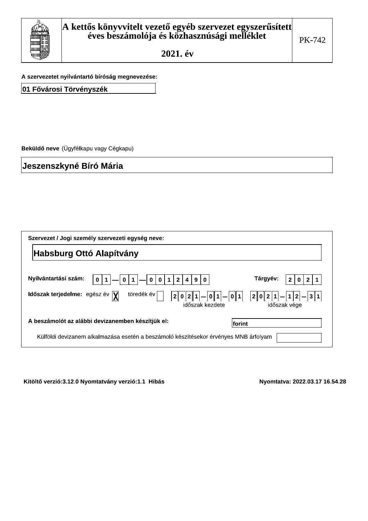

A szervezetet nyílvántártó biroság megnevezése:

|  |  |  | 01 Fővárosi Törvényszék |
|--|--|--|-------------------------|
|--|--|--|-------------------------|

Beküldő neve (Ügyfélkapu vagy Cégkapu)<br>Jeszenszkyné Bíró Mária Jeszenszkyne Biro Maria

| Szervezet / Jogi személy szervezeti egység neve:                                                                                        |                                                       |
|-----------------------------------------------------------------------------------------------------------------------------------------|-------------------------------------------------------|
| <b>Habsburg Ottó Alapítvány</b>                                                                                                         |                                                       |
| Nyilvántartási szám:<br>$\overline{2}$<br>$\mathbf{0}$<br>$\mathbf{0}$<br>$\mathbf{1}$<br>$\mathbf 0$<br>9<br>0<br>0                    | Tárgyév:<br>1                                         |
| töredék év<br>Időszak terjedelme: egész év  X <br>$\mathbf{1}$<br> 0 <br>2 0 2 <br> 0 1 <br>$\overline{\phantom{a}}$<br>időszak kezdete | 2  0  2  1<br>$ 1 2 -3 1$<br>$\equiv$<br>időszak vége |
| A beszámolót az alábbi devizanemben készítjük el:<br>lforint                                                                            |                                                       |
| Külföldi devizanem alkalmazása esetén a beszámoló készítésekor érvényes MNB árfolyam                                                    |                                                       |

Kitolto Verzio:3.12.0 Nyomtatvany Verzio:1.1 Hibas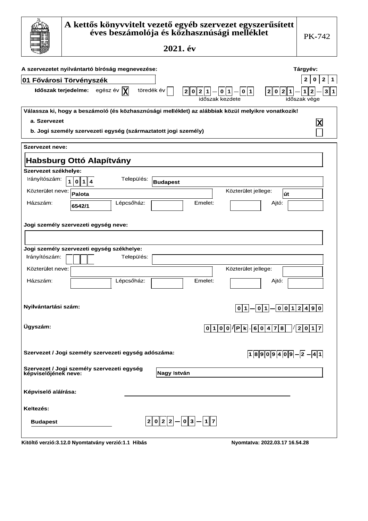|                                  | A kettős könyvvitelt vezető egyéb szervezet egyszerűsített<br>éves beszámolója és közhasznúsági melléklet<br>2021. év                     | <b>PK-742</b>                                                                |
|----------------------------------|-------------------------------------------------------------------------------------------------------------------------------------------|------------------------------------------------------------------------------|
|                                  | A szervezetet nyilvántartó bíróság megnevezése:<br><b>01 Fővárosi Törvényszék</b>                                                         | Tárgyév:<br>2 <sup>1</sup><br>$\mathbf{0}$<br>$\overline{2}$<br>$\mathbf{1}$ |
|                                  | Időszak terjedelme: egész év $ \mathbf{X} $<br>töredék év<br>$0  2  1  -  0  1  -  0  1 $<br>2 0 2 1<br>2 <sub>1</sub><br>időszak kezdete | 3<br>$\mathbf{1}$<br>$\mathbf{2}$<br>1<br>időszak vége                       |
| a. Szervezet                     | Válassza ki, hogy a beszámoló (és közhasznúsági melléklet) az alábbiak közül melyikre vonatkozik!                                         |                                                                              |
|                                  | b. Jogi személy szervezeti egység (származtatott jogi személy)                                                                            |                                                                              |
| <b>Szervezet neve:</b>           |                                                                                                                                           |                                                                              |
|                                  | <b>Habsburg Ottó Alapítvány</b>                                                                                                           |                                                                              |
| Szervezet székhelye:             |                                                                                                                                           |                                                                              |
| Irányítószám:                    | Település:<br>$\mathbf{1}$<br> 0 1 4<br><b>Budapest</b>                                                                                   |                                                                              |
| Közterület neve:                 | Közterület jellege:<br>Palota<br>lút                                                                                                      |                                                                              |
| Házszám:                         | Lépcsőház:<br>Emelet:<br>Ajtó:<br>6542/1                                                                                                  |                                                                              |
|                                  | Jogi személy szervezeti egység neve:<br>Jogi személy szervezeti egység székhelye:                                                         |                                                                              |
| Irányítószám:                    | Település:                                                                                                                                |                                                                              |
| Közterület neve:<br>Házszám:     | Közterület jellege:<br>Lépcsőház:<br>Emelet:<br>Ajtó:                                                                                     |                                                                              |
| Nyilvántartási szám:<br>Ügyszám: | $\boxed{0 1}-\boxed{0 1}-\boxed{0 0 1 2 4 9 0}$                                                                                           |                                                                              |
|                                  | 0 1 0 0 / P k . 6 0 4 7 8                                                                                                                 | $\frac{1}{2}$   0   1   7                                                    |
|                                  | Szervezet / Jogi személy szervezeti egység adószáma:<br>$18909409-2-41$                                                                   |                                                                              |
|                                  | Szervezet / Jogi személy szervezeti egység<br>képviselőjének neve:<br>Nagy István                                                         |                                                                              |
| Képviselő aláírása:              |                                                                                                                                           |                                                                              |
| Keltezés:                        |                                                                                                                                           |                                                                              |
| <b>Budapest</b>                  | $ 2 0 2 2 - 0 3 - 1 7 $                                                                                                                   |                                                                              |
|                                  | Kitöltő verzió:3.12.0 Nyomtatvány verzió:1.1 Hibás<br>Nyomtatva: 2022.03.17 16.54.28                                                      |                                                                              |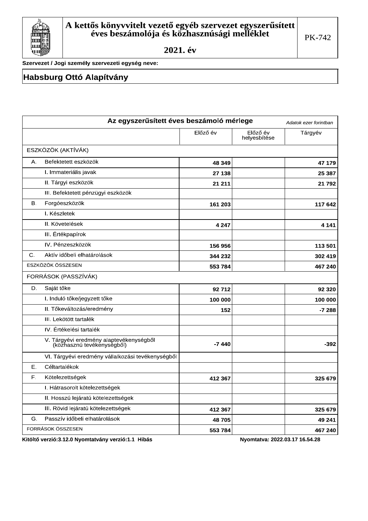

Szervezet / Jogi személy szervezeti egység neve:

### **Habsburg Ottó Alapítvány**

|    | Az egyszerűsített éves beszámoló mérlege                              |          |                          | Adatok ezer forintban |
|----|-----------------------------------------------------------------------|----------|--------------------------|-----------------------|
|    |                                                                       | Előző év | Előző év<br>helyesbítése | Tárgyév               |
|    | ESZKÖZÖK (AKTÍVÁK)                                                    |          |                          |                       |
| Α. | Befektetett eszközök                                                  | 48 349   |                          | 47 179                |
|    | I. Immateriális javak                                                 | 27 138   |                          | 25 387                |
|    | II. Tárgyi eszközök                                                   | 21 211   |                          | 21 792                |
|    | III. Befektetett pénzügyi eszközök                                    |          |                          |                       |
| В. | Forgóeszközök                                                         | 161 203  |                          | 117 642               |
|    | I. Készletek                                                          |          |                          |                       |
|    | II. Követelések                                                       | 4 2 4 7  |                          | 4 1 4 1               |
|    | III. Értékpapírok                                                     |          |                          |                       |
|    | IV. Pénzeszközök                                                      | 156 956  |                          | 113 501               |
| C. | Aktív időbeli elhatárolások                                           | 344 232  |                          | 302 419               |
|    | ESZKÖZÖK ÖSSZESEN                                                     | 553 784  |                          | 467 240               |
|    | FORRÁSOK (PASSZÍVÁK)                                                  |          |                          |                       |
| D. | Saját tőke                                                            | 92 712   |                          | 92 320                |
|    | I. Induló tőke/jegyzett tőke                                          | 100 000  |                          | 100 000               |
|    | II. Tőkeváltozás/eredmény                                             | 152      |                          | $-7288$               |
|    | III. Lekötött tartalék                                                |          |                          |                       |
|    | IV. Értékelési tartalék                                               |          |                          |                       |
|    | V. Tárgyévi eredmény alaptevékenységből<br>(közhasznú tevékenységből) | $-7440$  |                          | $-392$                |
|    | VI. Tárgyévi eredmény vállalkozási tevékenységből                     |          |                          |                       |
| Ε. | Céltartalékok                                                         |          |                          |                       |
| F. | Kötelezettségek                                                       | 412 367  |                          | 325 679               |
|    | I. Hátrasorolt kötelezettségek                                        |          |                          |                       |
|    | II. Hosszú lejáratú kötelezettségek                                   |          |                          |                       |
|    | III. Rövid lejáratú kötelezettségek                                   | 412 367  |                          | 325 679               |
| G. | Passzív időbeli elhatárolások                                         | 48705    |                          | 49 241                |
|    | FORRÁSOK ÖSSZESEN                                                     | 553 784  |                          | 467 240               |

Kitöltő verzió:3.12.0 Nyomtatvány verzió:1.1 Hibás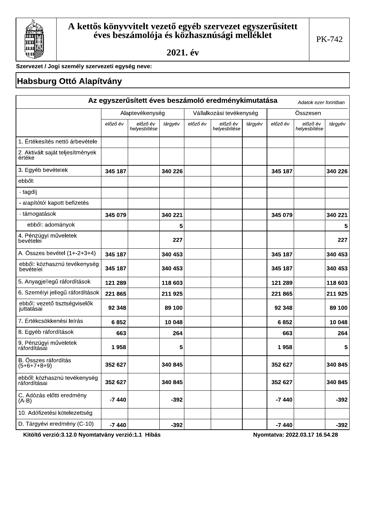

Szervezet / Jogi személy szervezeti egység neve:

### Habsburg Ottó Alapítvány

|                                              |          |                          |         |          | Az egyszerűsített éves beszámoló eredménykimutatása |         |          | Adatok ezer forintban    |         |
|----------------------------------------------|----------|--------------------------|---------|----------|-----------------------------------------------------|---------|----------|--------------------------|---------|
|                                              |          | Alaptevékenység          |         |          | Vállalkozási tevékenység                            |         |          | Összesen                 |         |
|                                              | előző év | előző év<br>helyesbítése | tárgyév | előző év | előző év<br>helyesbítése                            | tárgyév | előző év | előző év<br>helyesbítése | tárgyév |
| 1. Értékesítés nettó árbevétele              |          |                          |         |          |                                                     |         |          |                          |         |
| 2. Aktivált saját teljesítmények<br>értéke   |          |                          |         |          |                                                     |         |          |                          |         |
| 3. Egyéb bevételek                           | 345 187  |                          | 340 226 |          |                                                     |         | 345 187  |                          | 340 226 |
| ebből:                                       |          |                          |         |          |                                                     |         |          |                          |         |
| - tagdíj                                     |          |                          |         |          |                                                     |         |          |                          |         |
| - alapítótól kapott befizetés                |          |                          |         |          |                                                     |         |          |                          |         |
| - támogatások                                | 345 079  |                          | 340 221 |          |                                                     |         | 345 079  |                          | 340 221 |
| ebből: adományok                             |          |                          | 5       |          |                                                     |         |          |                          | 5       |
| 4. Pénzügyi műveletek<br>bevételei           |          |                          | 227     |          |                                                     |         |          |                          | 227     |
| A. Összes bevétel (1+-2+3+4)                 | 345 187  |                          | 340 453 |          |                                                     |         | 345 187  |                          | 340 453 |
| ebből: közhasznú tevékenység<br>bevételei    | 345 187  |                          | 340 453 |          |                                                     |         | 345 187  |                          | 340 453 |
| 5. Anyagjellegű ráfordítások                 | 121 289  |                          | 118 603 |          |                                                     |         | 121 289  |                          | 118 603 |
| 6. Személyi jellegű ráfordítások             | 221 865  |                          | 211 925 |          |                                                     |         | 221 865  |                          | 211925  |
| ebből: vezető tisztségviselők<br>juttatásai  | 92 348   |                          | 89 100  |          |                                                     |         | 92 348   |                          | 89 100  |
| 7. Értékcsökkenési leírás                    | 6852     |                          | 10 048  |          |                                                     |         | 6852     |                          | 10 048  |
| 8. Egyéb ráfordítások                        | 663      |                          | 264     |          |                                                     |         | 663      |                          | 264     |
| 9. Pénzügyi műveletek<br>ráfordításai        | 1958     |                          | 5       |          |                                                     |         | 1958     |                          | 5       |
| B. Összes ráfordítás<br>$(5+6+7+8+9)$        | 352 627  |                          | 340 845 |          |                                                     |         | 352 627  |                          | 340 845 |
| ebből: közhasznú tevékenység<br>ráfordításai | 352 627  |                          | 340 845 |          |                                                     |         | 352 627  |                          | 340 845 |
| C. Adózás előtti eredmény<br>$(A-B)$         | $-7440$  |                          | $-392$  |          |                                                     |         | $-7440$  |                          | $-392$  |
| 10. Adófizetési kötelezettség                |          |                          |         |          |                                                     |         |          |                          |         |
| D. Tárgyévi eredmény (C-10)                  | $-7440$  |                          | $-392$  |          |                                                     |         | $-7440$  |                          | $-392$  |

Kitöltő verzió:3.12.0 Nyomtatvány verzió:1.1 Hibás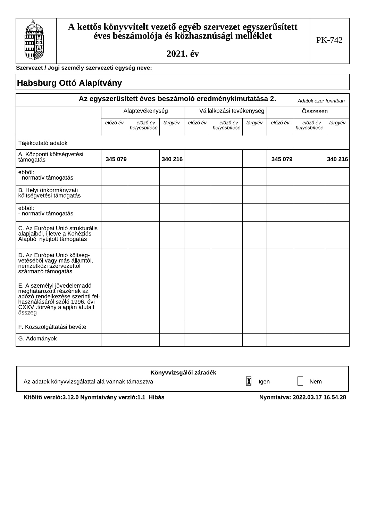

Г

2021. év

Szervezet / Jogi személy szervezeti egység neve:

| <b>Habsburg Ottó Alapítvány</b>                                                                                                                                         |          |                          |         |          |                                                        |         |          |                          |         |
|-------------------------------------------------------------------------------------------------------------------------------------------------------------------------|----------|--------------------------|---------|----------|--------------------------------------------------------|---------|----------|--------------------------|---------|
|                                                                                                                                                                         |          |                          |         |          | Az egyszerűsített éves beszámoló eredménykimutatása 2. |         |          | Adatok ezer forintban    |         |
|                                                                                                                                                                         |          | Alaptevékenység          |         |          | Vállalkozási tevékenység                               |         |          | Összesen                 |         |
|                                                                                                                                                                         | előző év | előző év<br>helyesbítése | tárgyév | előző év | előző év<br>helyesbítése                               | tárgyév | előző év | előző év<br>helyesbítése | tárgyév |
| Tájékoztató adatok                                                                                                                                                      |          |                          |         |          |                                                        |         |          |                          |         |
| A. Központi költségvetési<br>támogatás                                                                                                                                  | 345 079  |                          | 340 216 |          |                                                        |         | 345 079  |                          | 340 216 |
| ebből:<br>- normatív támogatás                                                                                                                                          |          |                          |         |          |                                                        |         |          |                          |         |
| B. Helyi önkormányzati<br>költségvetési támogatás                                                                                                                       |          |                          |         |          |                                                        |         |          |                          |         |
| ebből:<br>- normatív támogatás                                                                                                                                          |          |                          |         |          |                                                        |         |          |                          |         |
| C. Az Európai Unió strukturális<br>alapjaiból, illetve a Kohéziós<br>Alapból nyújtott támogatás                                                                         |          |                          |         |          |                                                        |         |          |                          |         |
| D. Az Európai Unió költség-<br>vetéséből vagy más államtól,<br>nemzetközi szervezettől<br>származó támogatás                                                            |          |                          |         |          |                                                        |         |          |                          |         |
| E. A személyi jövedelemadó<br>meghatározótt részének az<br>adózó rendelkezése szerinti fel-<br>használásáról szóló 1996. évi<br>CXXVI.törvény alapján átutalt<br>összeg |          |                          |         |          |                                                        |         |          |                          |         |
| F. Közszolgáltatási bevétel                                                                                                                                             |          |                          |         |          |                                                        |         |          |                          |         |
| G. Adományok                                                                                                                                                            |          |                          |         |          |                                                        |         |          |                          |         |

| Könyvvizsgálói záradék                            |                  |     |  |
|---------------------------------------------------|------------------|-----|--|
| Az adatok könyvvizsgálattal alá vannak támasztva. | lv<br>laer<br>I۸ | Nem |  |

Kitöltő verzió:3.12.0 Nyomtatvány verzió:1.1 Hibás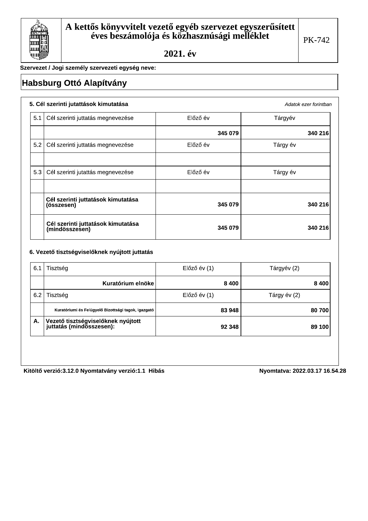

Adatok ezer forintban

Szervezet / Jogi személy szervezeti egység neve:

## **Habsburg Ottó Alapítvány**

### 5. Cél szerinti jutattások kimutatása

| 5.1 | Cél szerinti juttatás megnevezése                    | Előző év | Tárgyév  |
|-----|------------------------------------------------------|----------|----------|
|     |                                                      | 345 079  | 340 216  |
| 5.2 | Cél szerinti juttatás megnevezése                    | Előző év | Tárgy év |
|     |                                                      |          |          |
| 5.3 | Cél szerinti jutattás megnevezése                    | Előző év | Tárgy év |
|     |                                                      |          |          |
|     | Cél szerinti juttatások kimutatása<br>(összesen)     | 345 079  | 340 216  |
|     | Cél szerinti juttatások kimutatása<br>(mindösszesen) | 345 079  | 340 216  |

#### 6. Vezető tisztségviselőknek nyújtott juttatás

| 6.1 | Tisztség                                                                    | $El$ őző év $(1)$ | Tárgyév (2)  |
|-----|-----------------------------------------------------------------------------|-------------------|--------------|
|     | Kuratórium elnöke                                                           | 8400              | 8 4 0 0      |
| 6.2 | Tisztség                                                                    | $El$ őző év $(1)$ | Tárgy év (2) |
|     | Kuratóriumi és Felügyelő Bizottsági tagok, Igazgató                         | 83 948            | 80 700       |
| Α.  | <sup>l</sup> Vezető tisztségviselőknek nyújtott<br>juttatás (mindösszesen): | 92 348            | 89 100       |

Kitöltő verzió:3.12.0 Nyomtatvány verzió:1.1 Hibás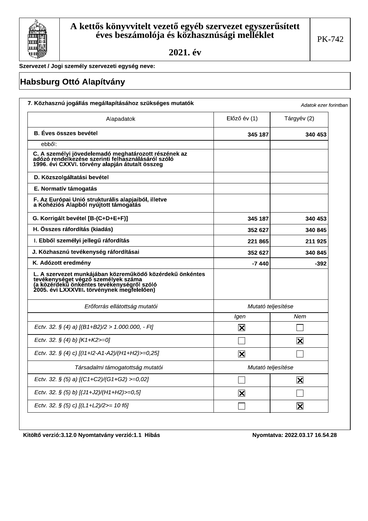

Szervezet / Jogi személy szervezeti egység neve:

# **Habsburg Ottó Alapítvány**

| Alapadatok                                                                                                                                                                                   | $E$ lőző év $(1)$       | Tárgyév (2)              |  |
|----------------------------------------------------------------------------------------------------------------------------------------------------------------------------------------------|-------------------------|--------------------------|--|
| <b>B.</b> Éves összes bevétel                                                                                                                                                                | 345 187                 | 340 453                  |  |
| ebből:                                                                                                                                                                                       |                         |                          |  |
| C. A személyi jövedelemadó meghatározott részének az<br>adózó rendelkezése szerinti felhásználásáról szóló<br>1996. évi CXXVI. törvény alapján átutalt összeg                                |                         |                          |  |
| D. Közszolgáltatási bevétel                                                                                                                                                                  |                         |                          |  |
| E. Normatív támogatás                                                                                                                                                                        |                         |                          |  |
| F. Az Európai Unió strukturális alapjaiból, illetve<br>a Kohéziós Alapból nyújtott támogatás                                                                                                 |                         |                          |  |
| G. Korrigált bevétel [B-(C+D+E+F)]                                                                                                                                                           | 345 187                 | 340 453                  |  |
| H. Összes ráfordítás (kiadás)                                                                                                                                                                | 352 627                 | 340 845                  |  |
| I. Ebből személyi jellegű ráfordítás                                                                                                                                                         | 221 865                 | 211925                   |  |
| J. Közhasznú tevékenység ráfordításai                                                                                                                                                        | 352 627                 | 340 845                  |  |
| K. Adózott eredmény                                                                                                                                                                          | -7 440                  | -392                     |  |
| L. A szervezet munkájában közreműködő közérdekű önkéntes<br>tevékenységet végző személyek száma<br>(a közérdekű önkéntes tevékenységről szóló<br>2005. évi LXXXVIII. törvénynek megfelelően) |                         |                          |  |
| Erőforrás ellátottság mutatói                                                                                                                                                                |                         | Mutató teljesítése       |  |
|                                                                                                                                                                                              | Igen                    | Nem                      |  |
| Ectv. 32. § (4) a) $[(B1+B2)/2 > 1.000.000, -Ft]$                                                                                                                                            | $\overline{\mathsf{x}}$ |                          |  |
| Ectv. 32. § (4) b) [K1+K2>=0]                                                                                                                                                                |                         | $\overline{\mathbf{X}}$  |  |
| Ectv. 32. § (4) c) [(11+12-A1-A2)/(H1+H2)>=0,25]                                                                                                                                             | $\overline{\mathbf{X}}$ |                          |  |
| Társadalmi támogatottság mutatói                                                                                                                                                             | Mutató teljesítése      |                          |  |
| Ectv. 32. § (5) a) [(C1+C2)/(G1+G2) >=0,02]                                                                                                                                                  |                         | $\mathbf{\underline{x}}$ |  |
| Ectv. 32. § (5) b) [(J1+J2)/(H1+H2)>=0,5]                                                                                                                                                    | $\mathbf{\Sigma}$       |                          |  |
| Ectv. 32. § (5) c) [(L1+L2)/2>= 10 fő]                                                                                                                                                       |                         | $\overline{\mathbf{X}}$  |  |

Kitöltő verzió:3.12.0 Nyomtatvány verzió:1.1 Hibás